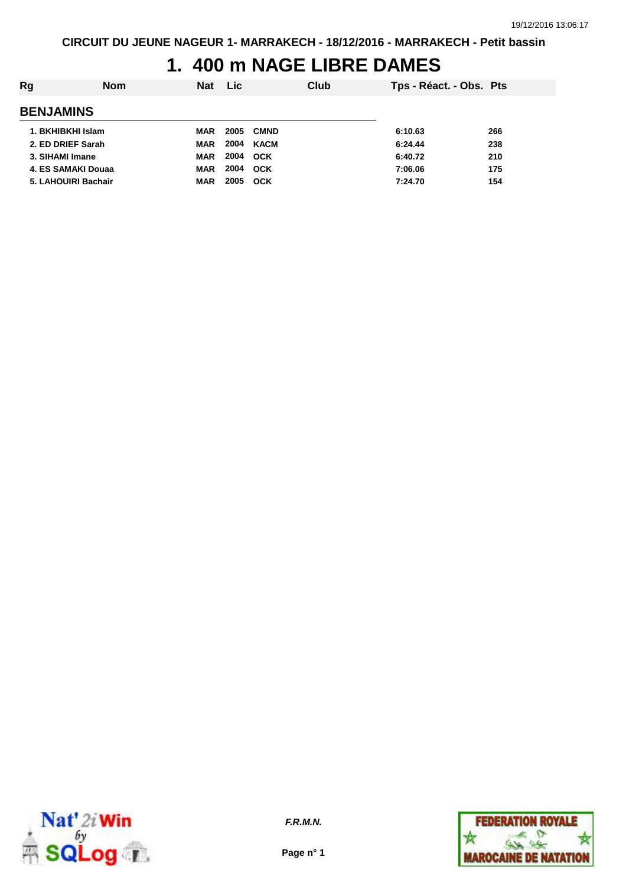# **1. 400 m NAGE LIBRE DAMES**

| Rg | <b>Nom</b>          | <b>Nat</b> | <b>Lic</b> |             | Club | Tps - Réact. - Obs. Pts |     |
|----|---------------------|------------|------------|-------------|------|-------------------------|-----|
|    | <b>BENJAMINS</b>    |            |            |             |      |                         |     |
|    | 1. BKHIBKHI Islam   | <b>MAR</b> | 2005       | <b>CMND</b> |      | 6:10.63                 | 266 |
|    | 2. ED DRIEF Sarah   | <b>MAR</b> | 2004       | KACM        |      | 6:24.44                 | 238 |
|    | 3. SIHAMI Imane     | <b>MAR</b> | 2004       | <b>OCK</b>  |      | 6:40.72                 | 210 |
|    | 4. ES SAMAKI Douaa  | <b>MAR</b> | 2004       | <b>OCK</b>  |      | 7:06.06                 | 175 |
|    | 5. LAHOUIRI Bachair | <b>MAR</b> | 2005       | OCK         |      | 7:24.70                 | 154 |
|    |                     |            |            |             |      |                         |     |



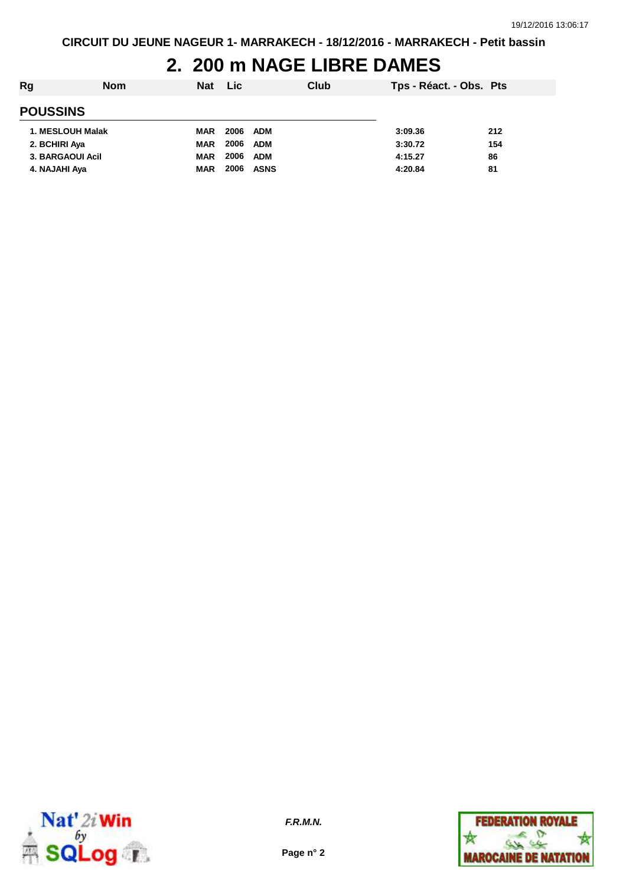# **2. 200 m NAGE LIBRE DAMES**

| Rg               | <b>Nom</b>       | <b>Nat</b> | <b>Lic</b> | Club        | Tps - Réact. - Obs. Pts |     |
|------------------|------------------|------------|------------|-------------|-------------------------|-----|
| <b>POUSSINS</b>  |                  |            |            |             |                         |     |
|                  | 1. MESLOUH Malak | <b>MAR</b> | 2006       | ADM         | 3:09.36                 | 212 |
| 2. BCHIRI Aya    |                  | <b>MAR</b> | 2006       | ADM         | 3:30.72                 | 154 |
| 3. BARGAOUI Acil |                  | <b>MAR</b> | 2006       | <b>ADM</b>  | 4:15.27                 | 86  |
| 4. NAJAHI Aya    |                  | <b>MAR</b> | 2006       | <b>ASNS</b> | 4:20.84                 | 81  |
|                  |                  |            |            |             |                         |     |



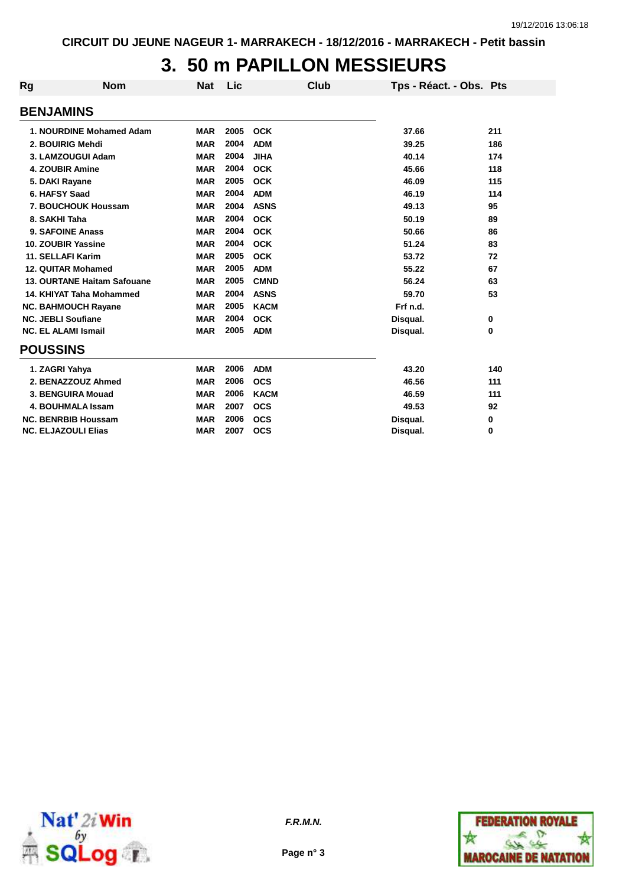# **3. 50 m PAPILLON MESSIEURS**

| <b>Rg</b>                 | <b>Nom</b>                  | <b>Nat</b> | Lic  | Club        | Tps - Réact. - Obs. Pts |          |
|---------------------------|-----------------------------|------------|------|-------------|-------------------------|----------|
| <b>BENJAMINS</b>          |                             |            |      |             |                         |          |
|                           | 1. NOURDINE Mohamed Adam    | <b>MAR</b> | 2005 | <b>OCK</b>  | 37.66                   | 211      |
|                           | 2. BOUIRIG Mehdi            | <b>MAR</b> | 2004 | <b>ADM</b>  | 39.25                   | 186      |
|                           | 3. LAMZOUGUI Adam           | <b>MAR</b> | 2004 | <b>JIHA</b> | 40.14                   | 174      |
|                           | <b>4. ZOUBIR Amine</b>      | <b>MAR</b> | 2004 | <b>OCK</b>  | 45.66                   | 118      |
| 5. DAKI Rayane            |                             | <b>MAR</b> | 2005 | <b>OCK</b>  | 46.09                   | 115      |
| 6. HAFSY Saad             |                             | <b>MAR</b> | 2004 | <b>ADM</b>  | 46.19                   | 114      |
|                           | 7. BOUCHOUK Houssam         | <b>MAR</b> | 2004 | <b>ASNS</b> | 49.13                   | 95       |
| 8. SAKHI Taha             |                             | <b>MAR</b> | 2004 | <b>OCK</b>  | 50.19                   | 89       |
|                           | 9. SAFOINE Anass            | <b>MAR</b> | 2004 | <b>OCK</b>  | 50.66                   | 86       |
|                           | 10. ZOUBIR Yassine          | <b>MAR</b> | 2004 | <b>OCK</b>  | 51.24                   | 83       |
|                           | <b>11. SELLAFI Karim</b>    | <b>MAR</b> | 2005 | <b>OCK</b>  | 53.72                   | 72       |
|                           | 12. QUITAR Mohamed          | <b>MAR</b> | 2005 | <b>ADM</b>  | 55.22                   | 67       |
|                           | 13. OURTANE Haitam Safouane | <b>MAR</b> | 2005 | <b>CMND</b> | 56.24                   | 63       |
|                           | 14. KHIYAT Taha Mohammed    | <b>MAR</b> | 2004 | <b>ASNS</b> | 59.70                   | 53       |
|                           | <b>NC. BAHMOUCH Rayane</b>  | <b>MAR</b> | 2005 | <b>KACM</b> | Frf n.d.                |          |
| <b>NC. JEBLI Soufiane</b> |                             | <b>MAR</b> | 2004 | <b>OCK</b>  | Disqual.                | 0        |
|                           | <b>NC. EL ALAMI Ismail</b>  | <b>MAR</b> | 2005 | <b>ADM</b>  | Disqual.                | 0        |
| <b>POUSSINS</b>           |                             |            |      |             |                         |          |
| 1. ZAGRI Yahya            |                             | <b>MAR</b> | 2006 | <b>ADM</b>  | 43.20                   | 140      |
|                           | 2. BENAZZOUZ Ahmed          | <b>MAR</b> | 2006 | <b>OCS</b>  | 46.56                   | 111      |
|                           | 3. BENGUIRA Mouad           | <b>MAR</b> | 2006 | <b>KACM</b> | 46.59                   | 111      |
|                           | <b>4. BOUHMALA Issam</b>    | <b>MAR</b> | 2007 | <b>OCS</b>  | 49.53                   | 92       |
|                           | <b>NC. BENRBIB Houssam</b>  | <b>MAR</b> | 2006 | <b>OCS</b>  | Disqual.                | 0        |
|                           | <b>NC. ELJAZOULI Elias</b>  | <b>MAR</b> | 2007 | <b>OCS</b>  | Disqual.                | $\bf{0}$ |



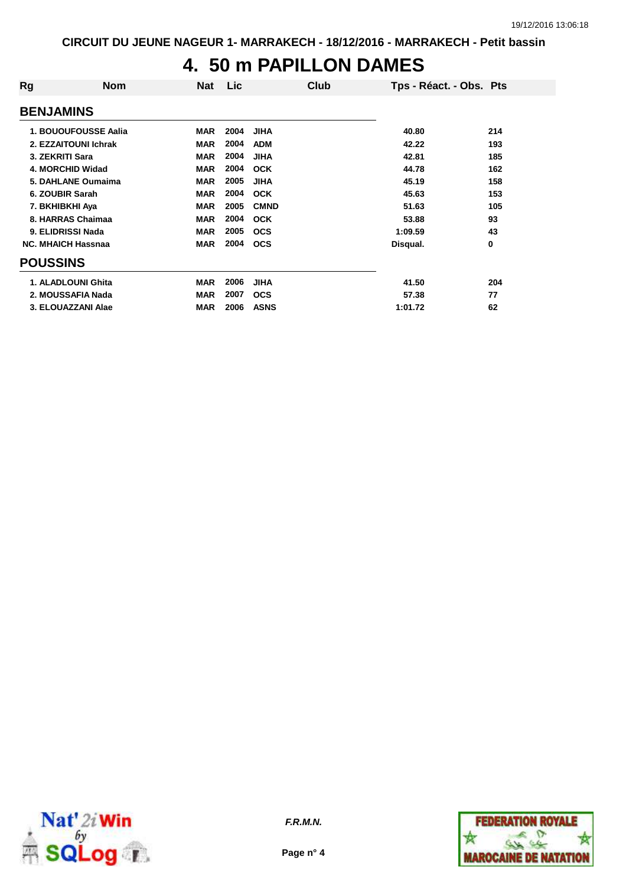## **4. 50 m PAPILLON DAMES**

| Rg               | <b>Nom</b>                | Nat        | Lic  | Club        | Tps - Réact. - Obs. Pts |          |
|------------------|---------------------------|------------|------|-------------|-------------------------|----------|
| <b>BENJAMINS</b> |                           |            |      |             |                         |          |
|                  | 1. BOUOUFOUSSE Aalia      | <b>MAR</b> | 2004 | <b>JIHA</b> | 40.80                   | 214      |
|                  | 2. EZZAITOUNI Ichrak      | <b>MAR</b> | 2004 | <b>ADM</b>  | 42.22                   | 193      |
|                  | 3. ZEKRITI Sara           | <b>MAR</b> | 2004 | <b>JIHA</b> | 42.81                   | 185      |
|                  | 4. MORCHID Widad          | <b>MAR</b> | 2004 | <b>OCK</b>  | 44.78                   | 162      |
|                  | 5. DAHLANE Oumaima        | <b>MAR</b> | 2005 | <b>JIHA</b> | 45.19                   | 158      |
|                  | 6. ZOUBIR Sarah           | <b>MAR</b> | 2004 | <b>OCK</b>  | 45.63                   | 153      |
|                  | 7. BKHIBKHI Aya           | <b>MAR</b> | 2005 | <b>CMND</b> | 51.63                   | 105      |
|                  | 8. HARRAS Chaimaa         | <b>MAR</b> | 2004 | <b>OCK</b>  | 53.88                   | 93       |
|                  | 9. ELIDRISSI Nada         | <b>MAR</b> | 2005 | <b>OCS</b>  | 1:09.59                 | 43       |
|                  | <b>NC. MHAICH Hassnaa</b> | <b>MAR</b> | 2004 | <b>OCS</b>  | Disqual.                | $\bf{0}$ |
| <b>POUSSINS</b>  |                           |            |      |             |                         |          |
|                  | 1. ALADLOUNI Ghita        | <b>MAR</b> | 2006 | <b>JIHA</b> | 41.50                   | 204      |
|                  | 2. MOUSSAFIA Nada         | <b>MAR</b> | 2007 | <b>OCS</b>  | 57.38                   | 77       |
|                  | 3. ELOUAZZANI Alae        | <b>MAR</b> | 2006 | <b>ASNS</b> | 1:01.72                 | 62       |



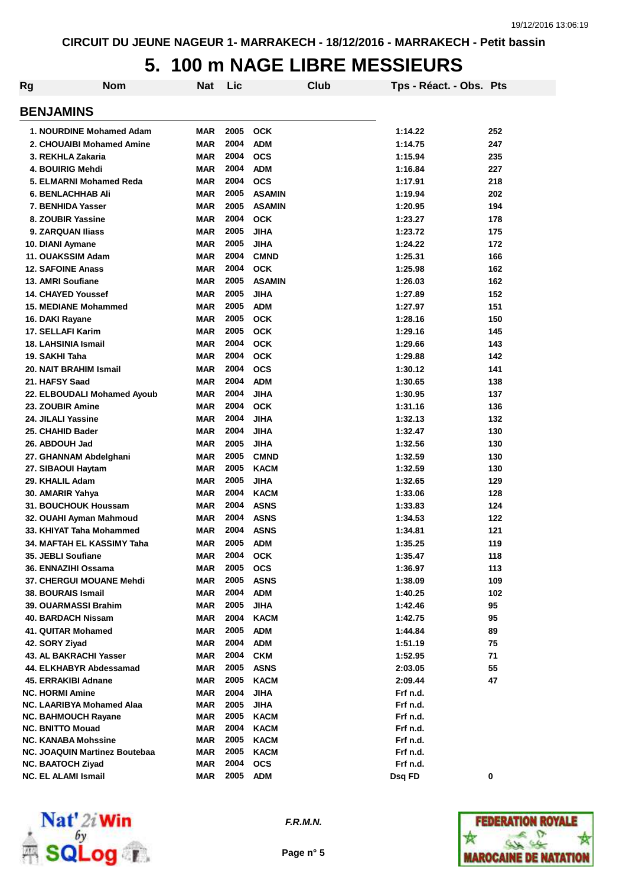# **5. 100 m NAGE LIBRE MESSIEURS**

| Rg | <b>Nom</b>                       | Nat        | Lic  |               | Club | Tps - Réact. - Obs. Pts |     |
|----|----------------------------------|------------|------|---------------|------|-------------------------|-----|
|    | <b>BENJAMINS</b>                 |            |      |               |      |                         |     |
|    | 1. NOURDINE Mohamed Adam         | MAR        | 2005 | <b>OCK</b>    |      | 1:14.22                 | 252 |
|    | 2. CHOUAIBI Mohamed Amine        | MAR        | 2004 | <b>ADM</b>    |      | 1:14.75                 | 247 |
|    | 3. REKHLA Zakaria                | MAR        | 2004 | <b>OCS</b>    |      | 1:15.94                 | 235 |
|    | 4. BOUIRIG Mehdi                 | MAR        | 2004 | <b>ADM</b>    |      | 1:16.84                 | 227 |
|    | 5. ELMARNI Mohamed Reda          | MAR        | 2004 | <b>OCS</b>    |      | 1:17.91                 | 218 |
|    | <b>6. BENLACHHAB Ali</b>         | MAR        | 2005 | <b>ASAMIN</b> |      | 1:19.94                 | 202 |
|    | 7. BENHIDA Yasser                | MAR        | 2005 | <b>ASAMIN</b> |      | 1:20.95                 | 194 |
|    | 8. ZOUBIR Yassine                | MAR        | 2004 | <b>OCK</b>    |      | 1:23.27                 | 178 |
|    | 9. ZARQUAN Iliass                | MAR        | 2005 | <b>JIHA</b>   |      | 1:23.72                 | 175 |
|    | 10. DIANI Aymane                 | MAR        | 2005 | <b>JIHA</b>   |      | 1:24.22                 | 172 |
|    | 11. OUAKSSIM Adam                | <b>MAR</b> | 2004 | <b>CMND</b>   |      | 1:25.31                 | 166 |
|    | <b>12. SAFOINE Anass</b>         | <b>MAR</b> | 2004 | <b>OCK</b>    |      | 1:25.98                 | 162 |
|    | 13. AMRI Soufiane                | <b>MAR</b> | 2005 | <b>ASAMIN</b> |      | 1:26.03                 | 162 |
|    | <b>14. CHAYED Youssef</b>        | <b>MAR</b> | 2005 | <b>JIHA</b>   |      | 1:27.89                 | 152 |
|    | <b>15. MEDIANE Mohammed</b>      | <b>MAR</b> | 2005 | <b>ADM</b>    |      | 1:27.97                 | 151 |
|    | 16. DAKI Rayane                  | <b>MAR</b> | 2005 | <b>OCK</b>    |      | 1:28.16                 | 150 |
|    | 17. SELLAFI Karim                | MAR        | 2005 | <b>OCK</b>    |      | 1:29.16                 | 145 |
|    | 18. LAHSINIA Ismail              | MAR        | 2004 | <b>OCK</b>    |      | 1:29.66                 | 143 |
|    | 19. SAKHI Taha                   | <b>MAR</b> | 2004 | <b>OCK</b>    |      | 1:29.88                 | 142 |
|    | 20. NAIT BRAHIM Ismail           | MAR        | 2004 | <b>OCS</b>    |      | 1:30.12                 | 141 |
|    | 21. HAFSY Saad                   | MAR        | 2004 | <b>ADM</b>    |      | 1:30.65                 | 138 |
|    | 22. ELBOUDALI Mohamed Ayoub      | <b>MAR</b> | 2004 | <b>JIHA</b>   |      | 1:30.95                 | 137 |
|    | 23. ZOUBIR Amine                 | <b>MAR</b> | 2004 | <b>OCK</b>    |      | 1:31.16                 | 136 |
|    | 24. JILALI Yassine               | <b>MAR</b> | 2004 | <b>JIHA</b>   |      | 1:32.13                 | 132 |
|    | 25. CHAHID Bader                 | <b>MAR</b> | 2004 | <b>JIHA</b>   |      | 1:32.47                 | 130 |
|    | 26. ABDOUH Jad                   | <b>MAR</b> | 2005 | <b>JIHA</b>   |      | 1:32.56                 | 130 |
|    | 27. GHANNAM Abdelghani           | <b>MAR</b> | 2005 | <b>CMND</b>   |      | 1:32.59                 | 130 |
|    | 27. SIBAOUI Haytam               | MAR        | 2005 | <b>KACM</b>   |      | 1:32.59                 | 130 |
|    | 29. KHALIL Adam                  | MAR        | 2005 | <b>JIHA</b>   |      | 1:32.65                 | 129 |
|    | 30. AMARIR Yahya                 | MAR        | 2004 | <b>KACM</b>   |      | 1:33.06                 | 128 |
|    | 31. BOUCHOUK Houssam             | MAR        | 2004 | <b>ASNS</b>   |      | 1:33.83                 | 124 |
|    | 32. OUAHI Ayman Mahmoud          | MAR        | 2004 | <b>ASNS</b>   |      | 1:34.53                 | 122 |
|    | 33. KHIYAT Taha Mohammed         | MAR        | 2004 | <b>ASNS</b>   |      | 1:34.81                 | 121 |
|    | 34. MAFTAH EL KASSIMY Taha       | <b>MAR</b> | 2005 | <b>ADM</b>    |      | 1:35.25                 | 119 |
|    | 35. JEBLI Soufiane               | MAR        | 2004 | <b>OCK</b>    |      | 1:35.47                 | 118 |
|    | 36. ENNAZIHI Ossama              | <b>MAR</b> | 2005 | <b>OCS</b>    |      | 1:36.97                 | 113 |
|    | <b>37. CHERGUI MOUANE Mehdi</b>  | <b>MAR</b> | 2005 | <b>ASNS</b>   |      | 1:38.09                 | 109 |
|    | <b>38. BOURAIS Ismail</b>        | MAR        | 2004 | <b>ADM</b>    |      | 1:40.25                 | 102 |
|    | 39. OUARMASSI Brahim             | <b>MAR</b> | 2005 | <b>JIHA</b>   |      | 1:42.46                 | 95  |
|    | 40. BARDACH Nissam               | <b>MAR</b> | 2004 | <b>KACM</b>   |      | 1:42.75                 | 95  |
|    | 41. QUITAR Mohamed               | <b>MAR</b> | 2005 | <b>ADM</b>    |      | 1:44.84                 | 89  |
|    | 42. SORY Ziyad                   | MAR        | 2004 | <b>ADM</b>    |      | 1:51.19                 | 75  |
|    | 43. AL BAKRACHI Yasser           | MAR        | 2004 | <b>CKM</b>    |      | 1:52.95                 | 71  |
|    | 44. ELKHABYR Abdessamad          | MAR        | 2005 | <b>ASNS</b>   |      | 2:03.05                 | 55  |
|    | 45. ERRAKIBI Adnane              | MAR        | 2005 | <b>KACM</b>   |      | 2:09.44                 | 47  |
|    | <b>NC. HORMI Amine</b>           | MAR        | 2004 | <b>JIHA</b>   |      | Frf n.d.                |     |
|    | <b>NC. LAARIBYA Mohamed Alaa</b> | MAR        | 2005 | <b>JIHA</b>   |      | Frf n.d.                |     |
|    | <b>NC. BAHMOUCH Rayane</b>       | MAR        | 2005 | <b>KACM</b>   |      | Frf n.d.                |     |
|    | <b>NC. BNITTO Mouad</b>          | MAR        | 2004 | <b>KACM</b>   |      | Frf n.d.                |     |
|    | <b>NC. KANABA Mohssine</b>       | MAR        | 2005 | <b>KACM</b>   |      | Frf n.d.                |     |
|    | NC. JOAQUIN Martinez Boutebaa    | <b>MAR</b> | 2005 | KACM          |      | Frf n.d.                |     |
|    | <b>NC. BAATOCH Ziyad</b>         | <b>MAR</b> | 2004 | <b>OCS</b>    |      | Frf n.d.                |     |
|    | <b>NC. EL ALAMI Ismail</b>       | <b>MAR</b> | 2005 | <b>ADM</b>    |      | Dsq FD                  | 0   |



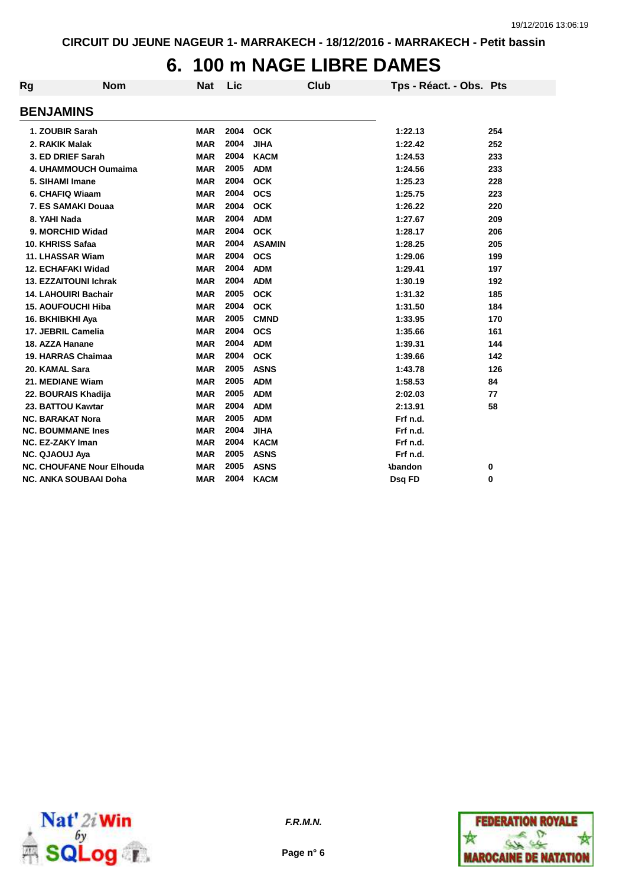# **6. 100 m NAGE LIBRE DAMES**

| Rg | <b>Nom</b>                       | <b>Nat</b> | Lic  | <b>Club</b>   | Tps - Réact. - Obs. Pts |     |
|----|----------------------------------|------------|------|---------------|-------------------------|-----|
|    | <b>BENJAMINS</b>                 |            |      |               |                         |     |
|    | 1. ZOUBIR Sarah                  | <b>MAR</b> | 2004 | <b>OCK</b>    | 1:22.13                 | 254 |
|    | 2. RAKIK Malak                   | <b>MAR</b> | 2004 | <b>JIHA</b>   | 1:22.42                 | 252 |
|    | 3. ED DRIEF Sarah                | <b>MAR</b> | 2004 | <b>KACM</b>   | 1:24.53                 | 233 |
|    | <b>4. UHAMMOUCH Oumaima</b>      | <b>MAR</b> | 2005 | <b>ADM</b>    | 1:24.56                 | 233 |
|    | 5. SIHAMI Imane                  | <b>MAR</b> | 2004 | <b>OCK</b>    | 1:25.23                 | 228 |
|    | 6. CHAFIQ Wiaam                  | <b>MAR</b> | 2004 | <b>OCS</b>    | 1:25.75                 | 223 |
|    | 7. ES SAMAKI Douaa               | <b>MAR</b> | 2004 | <b>OCK</b>    | 1:26.22                 | 220 |
|    | 8. YAHI Nada                     | <b>MAR</b> | 2004 | <b>ADM</b>    | 1:27.67                 | 209 |
|    | 9. MORCHID Widad                 | <b>MAR</b> | 2004 | <b>OCK</b>    | 1:28.17                 | 206 |
|    | 10. KHRISS Safaa                 | <b>MAR</b> | 2004 | <b>ASAMIN</b> | 1:28.25                 | 205 |
|    | 11. LHASSAR Wiam                 | <b>MAR</b> | 2004 | <b>OCS</b>    | 1:29.06                 | 199 |
|    | <b>12. ECHAFAKI Widad</b>        | <b>MAR</b> | 2004 | <b>ADM</b>    | 1:29.41                 | 197 |
|    | <b>13. EZZAITOUNI Ichrak</b>     | <b>MAR</b> | 2004 | <b>ADM</b>    | 1:30.19                 | 192 |
|    | <b>14. LAHOUIRI Bachair</b>      | <b>MAR</b> | 2005 | <b>OCK</b>    | 1:31.32                 | 185 |
|    | <b>15. AOUFOUCHI Hiba</b>        | <b>MAR</b> | 2004 | <b>OCK</b>    | 1:31.50                 | 184 |
|    | 16. BKHIBKHI Aya                 | <b>MAR</b> | 2005 | <b>CMND</b>   | 1:33.95                 | 170 |
|    | 17. JEBRIL Camelia               | <b>MAR</b> | 2004 | <b>OCS</b>    | 1:35.66                 | 161 |
|    | 18. AZZA Hanane                  | <b>MAR</b> | 2004 | <b>ADM</b>    | 1:39.31                 | 144 |
|    | 19. HARRAS Chaimaa               | <b>MAR</b> | 2004 | <b>OCK</b>    | 1:39.66                 | 142 |
|    | 20. KAMAL Sara                   | <b>MAR</b> | 2005 | <b>ASNS</b>   | 1:43.78                 | 126 |
|    | 21. MEDIANE Wiam                 | <b>MAR</b> | 2005 | <b>ADM</b>    | 1:58.53                 | 84  |
|    | 22. BOURAIS Khadija              | <b>MAR</b> | 2005 | <b>ADM</b>    | 2:02.03                 | 77  |
|    | 23. BATTOU Kawtar                | <b>MAR</b> | 2004 | <b>ADM</b>    | 2:13.91                 | 58  |
|    | <b>NC. BARAKAT Nora</b>          | <b>MAR</b> | 2005 | <b>ADM</b>    | Frf n.d.                |     |
|    | <b>NC. BOUMMANE Ines</b>         | <b>MAR</b> | 2004 | <b>JIHA</b>   | Frf n.d.                |     |
|    | <b>NC. EZ-ZAKY Iman</b>          | <b>MAR</b> | 2004 | <b>KACM</b>   | Frf n.d.                |     |
|    | <b>NC. QJAOUJ Aya</b>            | <b>MAR</b> | 2005 | <b>ASNS</b>   | Frf n.d.                |     |
|    | <b>NC. CHOUFANE Nour Elhouda</b> | <b>MAR</b> | 2005 | <b>ASNS</b>   | <b>\bandon</b>          | 0   |
|    | <b>NC. ANKA SOUBAAI Doha</b>     | <b>MAR</b> | 2004 | <b>KACM</b>   | Dsq FD                  | 0   |



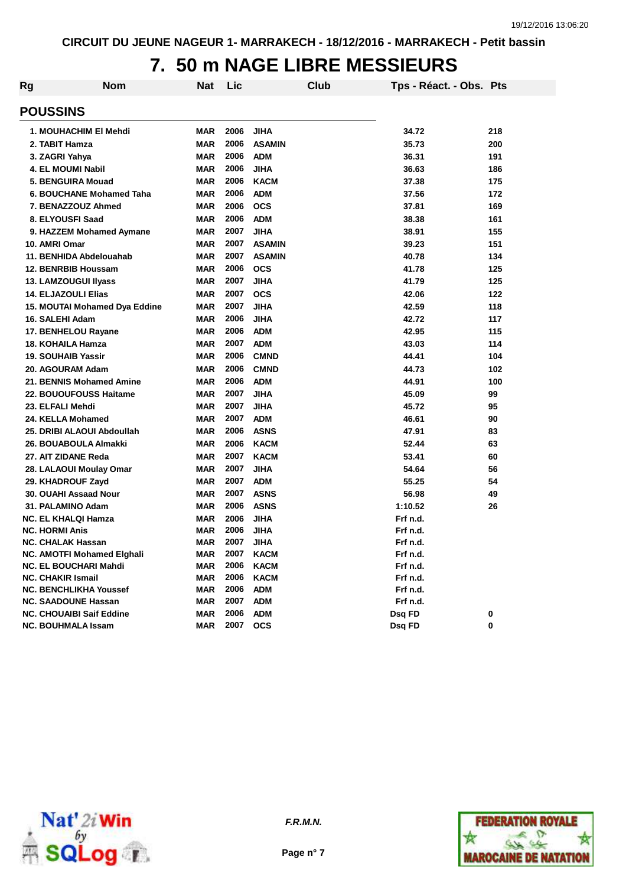# **7. 50 m NAGE LIBRE MESSIEURS**

| Rg | <b>Nom</b>                      | <b>Nat</b> | Lic  |               | Club | Tps - Réact. - Obs. Pts |     |
|----|---------------------------------|------------|------|---------------|------|-------------------------|-----|
|    | <b>POUSSINS</b>                 |            |      |               |      |                         |     |
|    | 1. MOUHACHIM EI Mehdi           | <b>MAR</b> | 2006 | <b>JIHA</b>   |      | 34.72                   | 218 |
|    | 2. TABIT Hamza                  | <b>MAR</b> | 2006 | <b>ASAMIN</b> |      | 35.73                   | 200 |
|    | 3. ZAGRI Yahya                  | <b>MAR</b> | 2006 | <b>ADM</b>    |      | 36.31                   | 191 |
|    | 4. EL MOUMI Nabil               | <b>MAR</b> | 2006 | <b>JIHA</b>   |      | 36.63                   | 186 |
|    | 5. BENGUIRA Mouad               | <b>MAR</b> | 2006 | <b>KACM</b>   |      | 37.38                   | 175 |
|    | 6. BOUCHANE Mohamed Taha        | <b>MAR</b> | 2006 | <b>ADM</b>    |      | 37.56                   | 172 |
|    | 7. BENAZZOUZ Ahmed              | <b>MAR</b> | 2006 | <b>OCS</b>    |      | 37.81                   | 169 |
|    | 8. ELYOUSFI Saad                | <b>MAR</b> | 2006 | <b>ADM</b>    |      | 38.38                   | 161 |
|    | 9. HAZZEM Mohamed Aymane        | <b>MAR</b> | 2007 | <b>JIHA</b>   |      | 38.91                   | 155 |
|    | 10. AMRI Omar                   | <b>MAR</b> | 2007 | <b>ASAMIN</b> |      | 39.23                   | 151 |
|    | 11. BENHIDA Abdelouahab         | <b>MAR</b> | 2007 | <b>ASAMIN</b> |      | 40.78                   | 134 |
|    | 12. BENRBIB Houssam             | <b>MAR</b> | 2006 | <b>OCS</b>    |      | 41.78                   | 125 |
|    | 13. LAMZOUGUI IIyass            | <b>MAR</b> | 2007 | <b>JIHA</b>   |      | 41.79                   | 125 |
|    | 14. ELJAZOULI Elias             | <b>MAR</b> | 2007 | <b>OCS</b>    |      | 42.06                   | 122 |
|    | 15. MOUTAI Mohamed Dya Eddine   | <b>MAR</b> | 2007 | <b>JIHA</b>   |      | 42.59                   | 118 |
|    | 16. SALEHI Adam                 | <b>MAR</b> | 2006 | <b>JIHA</b>   |      | 42.72                   | 117 |
|    | 17. BENHELOU Rayane             | <b>MAR</b> | 2006 | <b>ADM</b>    |      | 42.95                   | 115 |
|    | <b>18. KOHAILA Hamza</b>        | <b>MAR</b> | 2007 | <b>ADM</b>    |      | 43.03                   | 114 |
|    | <b>19. SOUHAIB Yassir</b>       | <b>MAR</b> | 2006 | <b>CMND</b>   |      | 44.41                   | 104 |
|    | 20. AGOURAM Adam                | <b>MAR</b> | 2006 | <b>CMND</b>   |      | 44.73                   | 102 |
|    | 21. BENNIS Mohamed Amine        | <b>MAR</b> | 2006 | <b>ADM</b>    |      | 44.91                   | 100 |
|    | 22. BOUOUFOUSS Haitame          | <b>MAR</b> | 2007 | <b>JIHA</b>   |      | 45.09                   | 99  |
|    | 23. ELFALI Mehdi                | <b>MAR</b> | 2007 | <b>JIHA</b>   |      | 45.72                   | 95  |
|    | 24. KELLA Mohamed               | <b>MAR</b> | 2007 | <b>ADM</b>    |      | 46.61                   | 90  |
|    | 25. DRIBI ALAOUI Abdoullah      | <b>MAR</b> | 2006 | <b>ASNS</b>   |      | 47.91                   | 83  |
|    | 26. BOUABOULA Almakki           | <b>MAR</b> | 2006 | <b>KACM</b>   |      | 52.44                   | 63  |
|    | 27. AIT ZIDANE Reda             | <b>MAR</b> | 2007 | <b>KACM</b>   |      | 53.41                   | 60  |
|    | 28. LALAOUI Moulay Omar         | <b>MAR</b> | 2007 | <b>JIHA</b>   |      | 54.64                   | 56  |
|    | 29. KHADROUF Zayd               | <b>MAR</b> | 2007 | <b>ADM</b>    |      | 55.25                   | 54  |
|    | 30. OUAHI Assaad Nour           | <b>MAR</b> | 2007 | <b>ASNS</b>   |      | 56.98                   | 49  |
|    | 31. PALAMINO Adam               | <b>MAR</b> | 2006 | <b>ASNS</b>   |      | 1:10.52                 | 26  |
|    | <b>NC. EL KHALQI Hamza</b>      | <b>MAR</b> | 2006 | <b>JIHA</b>   |      | Frf n.d.                |     |
|    | <b>NC. HORMI Anis</b>           | <b>MAR</b> | 2006 | <b>JIHA</b>   |      | Frf n.d.                |     |
|    | NC. CHALAK Hassan               | <b>MAR</b> | 2007 | JIHA          |      | Frf n.d.                |     |
|    | NC. AMOTFI Mohamed Elghali      | MAR        | 2007 | <b>KACM</b>   |      | Frf n.d.                |     |
|    | NC. EL BOUCHARI Mahdi           | <b>MAR</b> | 2006 | <b>KACM</b>   |      | Frf n.d.                |     |
|    | <b>NC. CHAKIR Ismail</b>        | <b>MAR</b> | 2006 | <b>KACM</b>   |      | Frf n.d.                |     |
|    | <b>NC. BENCHLIKHA Youssef</b>   | MAR        | 2006 | <b>ADM</b>    |      | Frf n.d.                |     |
|    | <b>NC. SAADOUNE Hassan</b>      | <b>MAR</b> | 2007 | <b>ADM</b>    |      | Frf n.d.                |     |
|    | <b>NC. CHOUAIBI Saif Eddine</b> | <b>MAR</b> | 2006 | <b>ADM</b>    |      | Dsq FD                  | 0   |
|    | <b>NC. BOUHMALA Issam</b>       | <b>MAR</b> | 2007 | <b>OCS</b>    |      | Dsq FD                  | 0   |





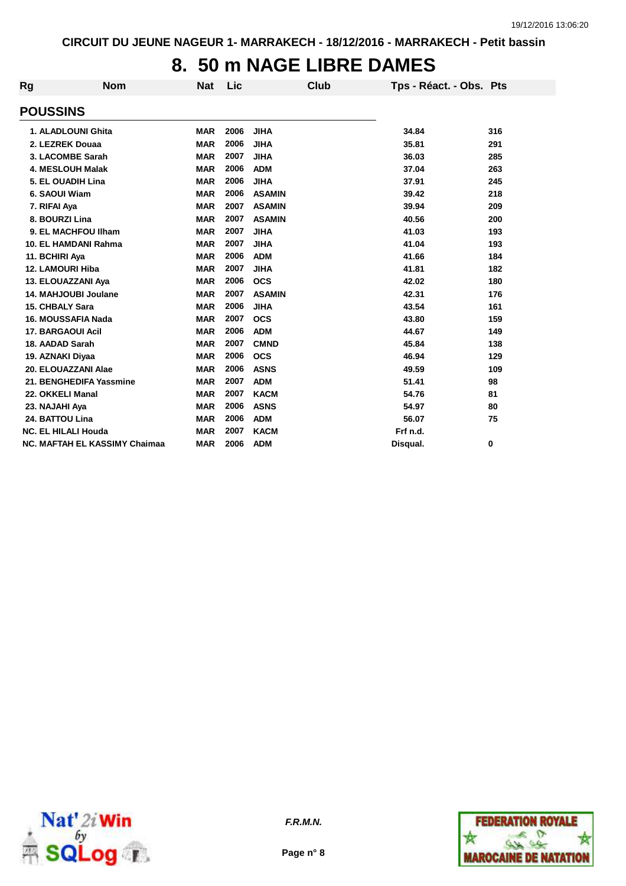### **8. 50 m NAGE LIBRE DAMES**

| Rg | <b>Nom</b>                           | <b>Nat</b> | Lic  | Club          | Tps - Réact. - Obs. Pts |     |
|----|--------------------------------------|------------|------|---------------|-------------------------|-----|
|    | <b>POUSSINS</b>                      |            |      |               |                         |     |
|    | 1. ALADLOUNI Ghita                   | <b>MAR</b> | 2006 | <b>JIHA</b>   | 34.84                   | 316 |
|    | 2. LEZREK Douaa                      | <b>MAR</b> | 2006 | <b>JIHA</b>   | 35.81                   | 291 |
|    | 3. LACOMBE Sarah                     | <b>MAR</b> | 2007 | <b>JIHA</b>   | 36.03                   | 285 |
|    | <b>4. MESLOUH Malak</b>              | <b>MAR</b> | 2006 | <b>ADM</b>    | 37.04                   | 263 |
|    | 5. EL OUADIH Lina                    | <b>MAR</b> | 2006 | <b>JIHA</b>   | 37.91                   | 245 |
|    | 6. SAOUI Wiam                        | <b>MAR</b> | 2006 | <b>ASAMIN</b> | 39.42                   | 218 |
|    | 7. RIFAI Aya                         | <b>MAR</b> | 2007 | <b>ASAMIN</b> | 39.94                   | 209 |
|    | 8. BOURZI Lina                       | <b>MAR</b> | 2007 | <b>ASAMIN</b> | 40.56                   | 200 |
|    | 9. EL MACHFOU Ilham                  | <b>MAR</b> | 2007 | <b>JIHA</b>   | 41.03                   | 193 |
|    | 10. EL HAMDANI Rahma                 | <b>MAR</b> | 2007 | <b>JIHA</b>   | 41.04                   | 193 |
|    | 11. BCHIRI Aya                       | <b>MAR</b> | 2006 | <b>ADM</b>    | 41.66                   | 184 |
|    | 12. LAMOURI Hiba                     | <b>MAR</b> | 2007 | <b>JIHA</b>   | 41.81                   | 182 |
|    | 13. ELOUAZZANI Aya                   | <b>MAR</b> | 2006 | <b>OCS</b>    | 42.02                   | 180 |
|    | 14. MAHJOUBI Joulane                 | <b>MAR</b> | 2007 | <b>ASAMIN</b> | 42.31                   | 176 |
|    | <b>15. CHBALY Sara</b>               | <b>MAR</b> | 2006 | <b>JIHA</b>   | 43.54                   | 161 |
|    | 16. MOUSSAFIA Nada                   | <b>MAR</b> | 2007 | <b>OCS</b>    | 43.80                   | 159 |
|    | <b>17. BARGAOUI Acil</b>             | <b>MAR</b> | 2006 | <b>ADM</b>    | 44.67                   | 149 |
|    | 18. AADAD Sarah                      | <b>MAR</b> | 2007 | <b>CMND</b>   | 45.84                   | 138 |
|    | 19. AZNAKI Diyaa                     | <b>MAR</b> | 2006 | <b>OCS</b>    | 46.94                   | 129 |
|    | 20. ELOUAZZANI Alae                  | <b>MAR</b> | 2006 | <b>ASNS</b>   | 49.59                   | 109 |
|    | 21. BENGHEDIFA Yassmine              | <b>MAR</b> | 2007 | <b>ADM</b>    | 51.41                   | 98  |
|    | 22. OKKELI Manal                     | <b>MAR</b> | 2007 | <b>KACM</b>   | 54.76                   | 81  |
|    | 23. NAJAHI Aya                       | <b>MAR</b> | 2006 | <b>ASNS</b>   | 54.97                   | 80  |
|    | 24. BATTOU Lina                      | <b>MAR</b> | 2006 | <b>ADM</b>    | 56.07                   | 75  |
|    | <b>NC. EL HILALI Houda</b>           | <b>MAR</b> | 2007 | <b>KACM</b>   | Frf n.d.                |     |
|    | <b>NC. MAFTAH EL KASSIMY Chaimaa</b> | <b>MAR</b> | 2006 | <b>ADM</b>    | Disqual.                | 0   |





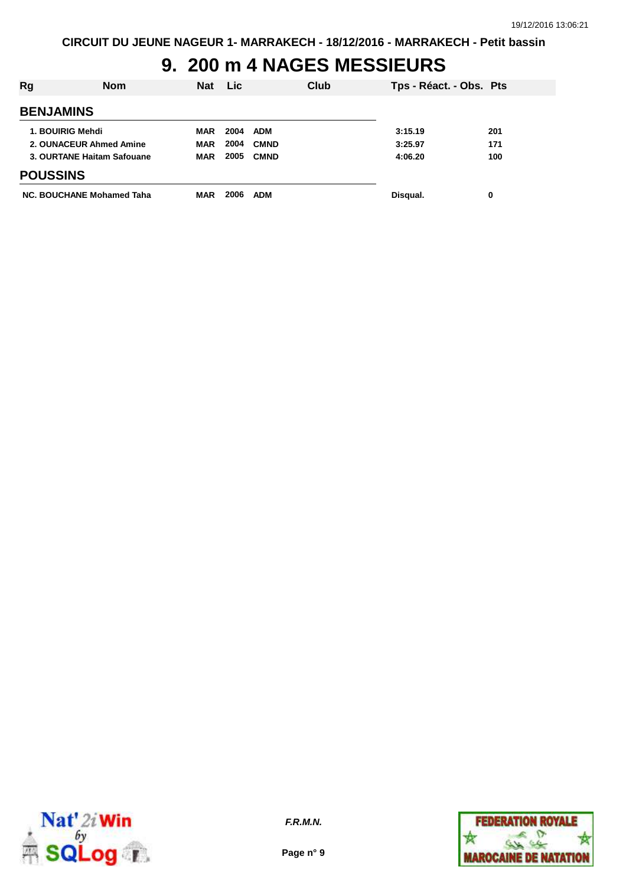## **9. 200 m 4 NAGES MESSIEURS**

| Rg               | Nom                        | <b>Nat</b> | <b>Lic</b> | Club        | Tps - Réact. - Obs. Pts |     |
|------------------|----------------------------|------------|------------|-------------|-------------------------|-----|
| <b>BENJAMINS</b> |                            |            |            |             |                         |     |
|                  | 1. BOUIRIG Mehdi           | <b>MAR</b> | 2004       | <b>ADM</b>  | 3:15.19                 | 201 |
|                  | 2. OUNACEUR Ahmed Amine    | <b>MAR</b> | 2004       | <b>CMND</b> | 3:25.97                 | 171 |
|                  | 3. OURTANE Haitam Safouane | <b>MAR</b> | 2005       | <b>CMND</b> | 4:06.20                 | 100 |
| <b>POUSSINS</b>  |                            |            |            |             |                         |     |
|                  | NC. BOUCHANE Mohamed Taha  | <b>MAR</b> | 2006       | <b>ADM</b>  | Disqual.                | 0   |



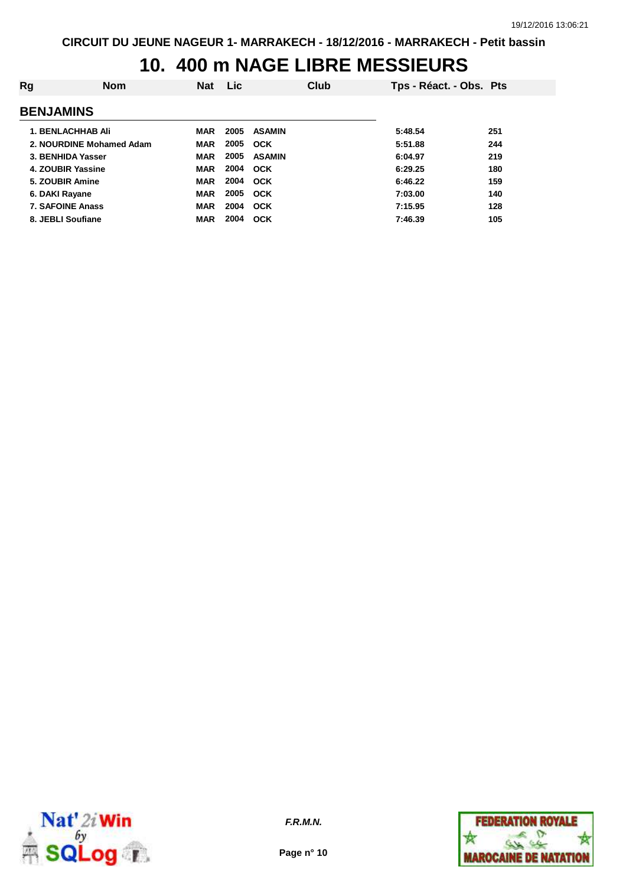## **10. 400 m NAGE LIBRE MESSIEURS**

| Rg                       | Nom | <b>Nat</b> | <b>Lic</b> | Club          | Tps - Réact. - Obs. Pts |     |
|--------------------------|-----|------------|------------|---------------|-------------------------|-----|
| <b>BENJAMINS</b>         |     |            |            |               |                         |     |
| <b>1. BENLACHHAB Ali</b> |     | <b>MAR</b> | 2005       | <b>ASAMIN</b> | 5:48.54                 | 251 |
| 2. NOURDINE Mohamed Adam |     | <b>MAR</b> | 2005       | <b>OCK</b>    | 5:51.88                 | 244 |
| 3. BENHIDA Yasser        |     | <b>MAR</b> | 2005       | <b>ASAMIN</b> | 6:04.97                 | 219 |
| 4. ZOUBIR Yassine        |     | <b>MAR</b> |            | 2004 OCK      | 6:29.25                 | 180 |
| 5. ZOUBIR Amine          |     | <b>MAR</b> | 2004       | <b>OCK</b>    | 6:46.22                 | 159 |
| 6. DAKI Rayane           |     | <b>MAR</b> | 2005       | <b>OCK</b>    | 7:03.00                 | 140 |
| <b>7. SAFOINE Anass</b>  |     | <b>MAR</b> | 2004       | OCK           | 7:15.95                 | 128 |
| 8. JEBLI Soufiane        |     | <b>MAR</b> | 2004       | OCK           | 7:46.39                 | 105 |



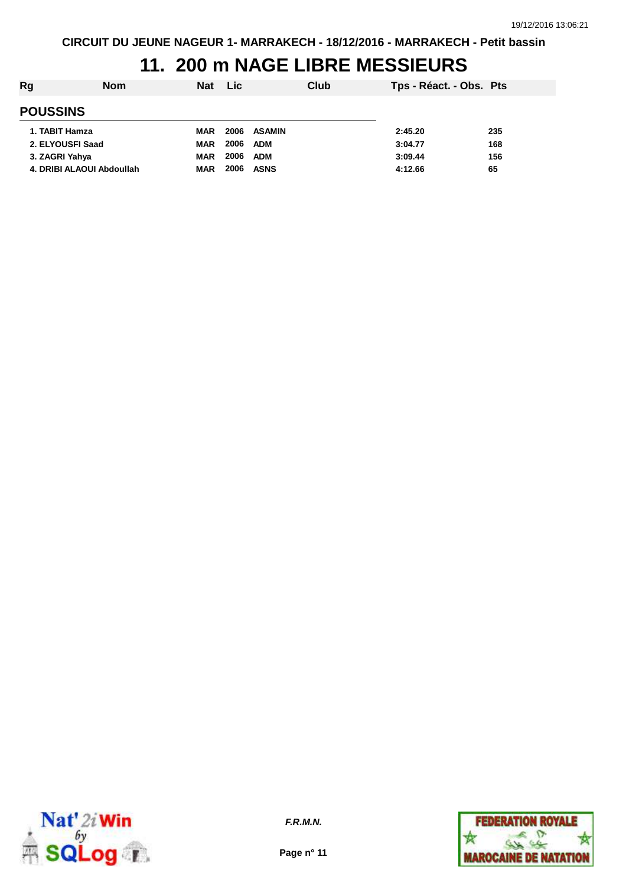# **11. 200 m NAGE LIBRE MESSIEURS**

| Rg<br><b>Nom</b>          | <b>Nat</b> | <b>Lic</b> |             | Club | Tps - Réact. - Obs. Pts |     |
|---------------------------|------------|------------|-------------|------|-------------------------|-----|
| <b>POUSSINS</b>           |            |            |             |      |                         |     |
| 1. TABIT Hamza            | <b>MAR</b> |            | 2006 ASAMIN |      | 2:45.20                 | 235 |
| 2. ELYOUSFI Saad          | <b>MAR</b> | 2006       | <b>ADM</b>  |      | 3:04.77                 | 168 |
| 3. ZAGRI Yahya            | <b>MAR</b> | 2006       | <b>ADM</b>  |      | 3:09.44                 | 156 |
| 4. DRIBI ALAOUI Abdoullah | <b>MAR</b> | 2006       | <b>ASNS</b> |      | 4:12.66                 | 65  |



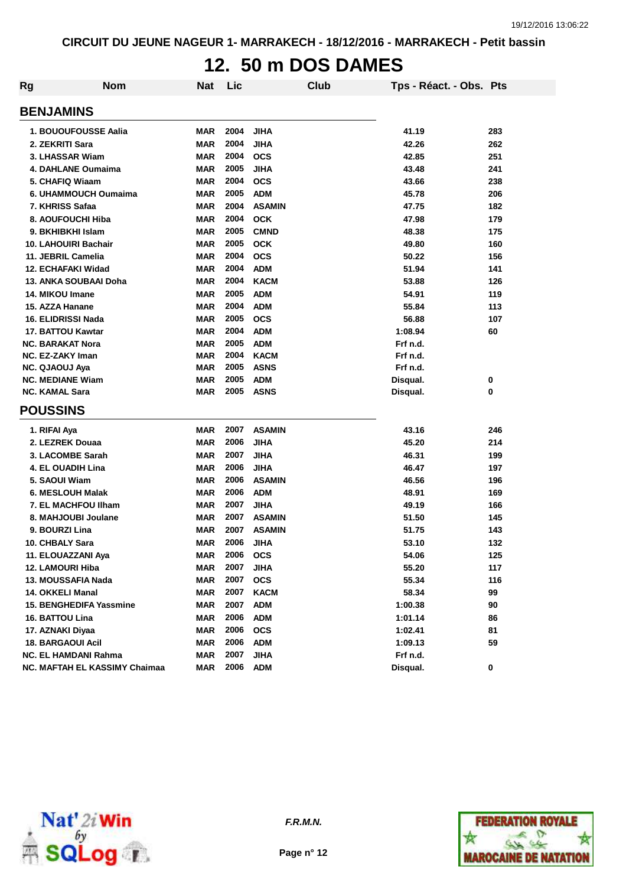### **12. 50 m DOS DAMES**

| Rg | <b>Nom</b>                           | Nat        | Lic  |               | <b>Club</b> | Tps - Réact. - Obs. Pts |     |
|----|--------------------------------------|------------|------|---------------|-------------|-------------------------|-----|
|    | <b>BENJAMINS</b>                     |            |      |               |             |                         |     |
|    | 1. BOUOUFOUSSE Aalia                 | <b>MAR</b> | 2004 | <b>JIHA</b>   |             | 41.19                   | 283 |
|    | 2. ZEKRITI Sara                      | <b>MAR</b> | 2004 | <b>JIHA</b>   |             | 42.26                   | 262 |
|    | 3. LHASSAR Wiam                      | <b>MAR</b> | 2004 | <b>OCS</b>    |             | 42.85                   | 251 |
|    | 4. DAHLANE Oumaima                   | <b>MAR</b> | 2005 | <b>JIHA</b>   |             | 43.48                   | 241 |
|    | 5. CHAFIQ Wiaam                      | <b>MAR</b> | 2004 | <b>OCS</b>    |             | 43.66                   | 238 |
|    | 6. UHAMMOUCH Oumaima                 | <b>MAR</b> | 2005 | <b>ADM</b>    |             | 45.78                   | 206 |
|    | 7. KHRISS Safaa                      | <b>MAR</b> | 2004 | <b>ASAMIN</b> |             | 47.75                   | 182 |
|    | 8. AOUFOUCHI Hiba                    | <b>MAR</b> | 2004 | <b>OCK</b>    |             | 47.98                   | 179 |
|    | 9. BKHIBKHI Islam                    | <b>MAR</b> | 2005 | <b>CMND</b>   |             | 48.38                   | 175 |
|    | <b>10. LAHOUIRI Bachair</b>          | <b>MAR</b> | 2005 | <b>OCK</b>    |             | 49.80                   | 160 |
|    | 11. JEBRIL Camelia                   | <b>MAR</b> | 2004 | <b>OCS</b>    |             | 50.22                   | 156 |
|    | 12. ECHAFAKI Widad                   | <b>MAR</b> | 2004 | <b>ADM</b>    |             | 51.94                   | 141 |
|    | 13. ANKA SOUBAAI Doha                | <b>MAR</b> | 2004 | <b>KACM</b>   |             | 53.88                   | 126 |
|    | 14. MIKOU Imane                      | <b>MAR</b> | 2005 | <b>ADM</b>    |             | 54.91                   | 119 |
|    | 15. AZZA Hanane                      | <b>MAR</b> | 2004 | <b>ADM</b>    |             | 55.84                   | 113 |
|    | <b>16. ELIDRISSI Nada</b>            | <b>MAR</b> | 2005 | <b>OCS</b>    |             | 56.88                   | 107 |
|    | 17. BATTOU Kawtar                    | <b>MAR</b> | 2004 | <b>ADM</b>    |             | 1:08.94                 | 60  |
|    | <b>NC. BARAKAT Nora</b>              | <b>MAR</b> | 2005 | <b>ADM</b>    |             | Frf n.d.                |     |
|    | <b>NC. EZ-ZAKY Iman</b>              | <b>MAR</b> | 2004 | <b>KACM</b>   |             | Frf n.d.                |     |
|    | <b>NC. QJAOUJ Aya</b>                | <b>MAR</b> | 2005 | <b>ASNS</b>   |             | Frf n.d.                |     |
|    | <b>NC. MEDIANE Wiam</b>              | <b>MAR</b> | 2005 | <b>ADM</b>    |             | Disqual.                | 0   |
|    | <b>NC. KAMAL Sara</b>                | <b>MAR</b> | 2005 | <b>ASNS</b>   |             | Disqual.                | 0   |
|    | <b>POUSSINS</b>                      |            |      |               |             |                         |     |
|    | 1. RIFAI Aya                         | <b>MAR</b> | 2007 | <b>ASAMIN</b> |             | 43.16                   | 246 |
|    | 2. LEZREK Douaa                      | <b>MAR</b> | 2006 | <b>JIHA</b>   |             | 45.20                   | 214 |
|    | 3. LACOMBE Sarah                     | <b>MAR</b> | 2007 | <b>JIHA</b>   |             | 46.31                   | 199 |
|    | <b>4. EL OUADIH Lina</b>             | <b>MAR</b> | 2006 | <b>JIHA</b>   |             | 46.47                   | 197 |
|    | 5. SAOUI Wiam                        | <b>MAR</b> | 2006 | <b>ASAMIN</b> |             | 46.56                   | 196 |
|    | 6. MESLOUH Malak                     | <b>MAR</b> | 2006 | <b>ADM</b>    |             | 48.91                   | 169 |
|    | <b>7. EL MACHFOU IIham</b>           | <b>MAR</b> | 2007 | <b>JIHA</b>   |             | 49.19                   | 166 |
|    | 8. MAHJOUBI Joulane                  | <b>MAR</b> | 2007 | <b>ASAMIN</b> |             | 51.50                   | 145 |
|    | 9. BOURZI Lina                       | <b>MAR</b> | 2007 | <b>ASAMIN</b> |             | 51.75                   | 143 |
|    | 10. CHBALY Sara                      | <b>MAR</b> | 2006 | <b>JIHA</b>   |             | 53.10                   | 132 |
|    | 11. ELOUAZZANI Aya                   | MAR        | 2006 | <b>OCS</b>    |             | 54.06                   | 125 |
|    | 12. LAMOURI Hiba                     | <b>MAR</b> | 2007 | <b>JIHA</b>   |             | 55.20                   | 117 |
|    | 13. MOUSSAFIA Nada                   | <b>MAR</b> | 2007 | <b>OCS</b>    |             | 55.34                   | 116 |
|    | <b>14. OKKELI Manal</b>              | <b>MAR</b> | 2007 | <b>KACM</b>   |             | 58.34                   | 99  |
|    | <b>15. BENGHEDIFA Yassmine</b>       | <b>MAR</b> | 2007 | <b>ADM</b>    |             | 1:00.38                 | 90  |
|    | 16. BATTOU Lina                      | <b>MAR</b> | 2006 | <b>ADM</b>    |             | 1:01.14                 | 86  |
|    | 17. AZNAKI Diyaa                     | <b>MAR</b> | 2006 | <b>OCS</b>    |             | 1:02.41                 | 81  |
|    | <b>18. BARGAOUI Acil</b>             | <b>MAR</b> | 2006 | <b>ADM</b>    |             | 1:09.13                 | 59  |
|    | <b>NC. EL HAMDANI Rahma</b>          | <b>MAR</b> | 2007 | <b>JIHA</b>   |             | Frf n.d.                |     |
|    | <b>NC. MAFTAH EL KASSIMY Chaimaa</b> | <b>MAR</b> | 2006 | <b>ADM</b>    |             | Disqual.                | 0   |



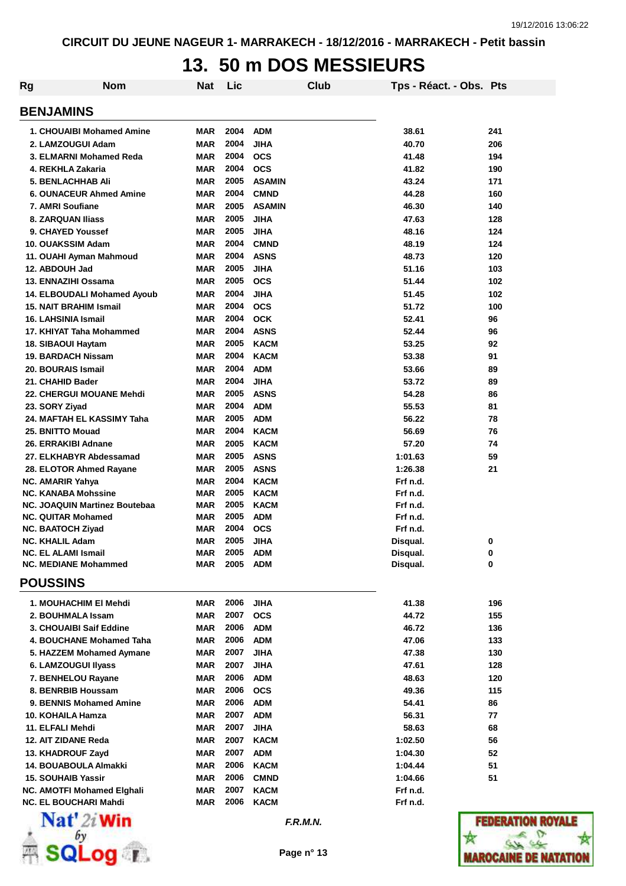### **13. 50 m DOS MESSIEURS**

| Rg               | <b>Nom</b>                                                   | Nat               | Lic          | Club                      | Tps - Réact. - Obs. Pts |                                    |  |  |
|------------------|--------------------------------------------------------------|-------------------|--------------|---------------------------|-------------------------|------------------------------------|--|--|
| <b>BENJAMINS</b> |                                                              |                   |              |                           |                         |                                    |  |  |
|                  | 1. CHOUAIBI Mohamed Amine                                    | <b>MAR</b>        | 2004         | <b>ADM</b>                | 38.61                   | 241                                |  |  |
|                  | 2. LAMZOUGUI Adam                                            | <b>MAR</b>        | 2004         | <b>JIHA</b>               | 40.70                   | 206                                |  |  |
|                  | 3. ELMARNI Mohamed Reda                                      | <b>MAR</b>        | 2004         | <b>OCS</b>                | 41.48                   | 194                                |  |  |
|                  | 4. REKHLA Zakaria                                            | <b>MAR</b>        | 2004         | <b>OCS</b>                | 41.82                   | 190                                |  |  |
|                  | <b>5. BENLACHHAB Ali</b>                                     | <b>MAR</b>        | 2005         | <b>ASAMIN</b>             | 43.24                   | 171                                |  |  |
|                  | <b>6. OUNACEUR Ahmed Amine</b>                               | <b>MAR</b>        | 2004         | <b>CMND</b>               | 44.28                   | 160                                |  |  |
|                  | 7. AMRI Soufiane                                             | <b>MAR</b>        | 2005         | <b>ASAMIN</b>             | 46.30                   | 140                                |  |  |
|                  | <b>8. ZARQUAN Iliass</b>                                     | <b>MAR</b>        | 2005         | <b>JIHA</b>               | 47.63                   | 128                                |  |  |
|                  | 9. CHAYED Youssef                                            | <b>MAR</b>        | 2005         | <b>JIHA</b>               | 48.16                   | 124                                |  |  |
|                  | 10. OUAKSSIM Adam                                            | <b>MAR</b>        | 2004         | <b>CMND</b>               | 48.19                   | 124                                |  |  |
|                  | 11. OUAHI Ayman Mahmoud                                      | <b>MAR</b>        | 2004         | <b>ASNS</b>               | 48.73                   | 120                                |  |  |
|                  | 12. ABDOUH Jad                                               | <b>MAR</b>        | 2005         | <b>JIHA</b>               | 51.16                   | 103                                |  |  |
|                  | 13. ENNAZIHI Ossama                                          | <b>MAR</b>        | 2005         | <b>OCS</b>                | 51.44                   | 102                                |  |  |
|                  | 14. ELBOUDALI Mohamed Ayoub<br><b>15. NAIT BRAHIM Ismail</b> | MAR<br><b>MAR</b> | 2004<br>2004 | <b>JIHA</b><br><b>OCS</b> | 51.45<br>51.72          | 102<br>100                         |  |  |
|                  | 16. LAHSINIA Ismail                                          | <b>MAR</b>        | 2004         | <b>OCK</b>                | 52.41                   | 96                                 |  |  |
|                  | 17. KHIYAT Taha Mohammed                                     | MAR               | 2004         | <b>ASNS</b>               | 52.44                   | 96                                 |  |  |
|                  | 18. SIBAOUI Haytam                                           | MAR               | 2005         | <b>KACM</b>               | 53.25                   | 92                                 |  |  |
|                  | 19. BARDACH Nissam                                           | <b>MAR</b>        | 2004         | <b>KACM</b>               | 53.38                   | 91                                 |  |  |
|                  | 20. BOURAIS Ismail                                           | MAR               | 2004         | <b>ADM</b>                | 53.66                   | 89                                 |  |  |
|                  | 21. CHAHID Bader                                             | <b>MAR</b>        | 2004         | <b>JIHA</b>               | 53.72                   | 89                                 |  |  |
|                  | 22. CHERGUI MOUANE Mehdi                                     | <b>MAR</b>        | 2005         | <b>ASNS</b>               | 54.28                   | 86                                 |  |  |
|                  | 23. SORY Ziyad                                               | <b>MAR</b>        | 2004         | <b>ADM</b>                | 55.53                   | 81                                 |  |  |
|                  | 24. MAFTAH EL KASSIMY Taha                                   | MAR               | 2005         | <b>ADM</b>                | 56.22                   | 78                                 |  |  |
|                  | 25. BNITTO Mouad                                             | <b>MAR</b>        | 2004         | <b>KACM</b>               | 56.69                   | 76                                 |  |  |
|                  | 26. ERRAKIBI Adnane                                          | <b>MAR</b>        | 2005         | <b>KACM</b>               | 57.20                   | 74                                 |  |  |
|                  | 27. ELKHABYR Abdessamad                                      | <b>MAR</b>        | 2005         | <b>ASNS</b>               | 1:01.63                 | 59                                 |  |  |
|                  | 28. ELOTOR Ahmed Rayane                                      | MAR               | 2005         | <b>ASNS</b>               | 1:26.38                 | 21                                 |  |  |
|                  | NC. AMARIR Yahya                                             | <b>MAR</b>        | 2004         | <b>KACM</b>               | Frf n.d.                |                                    |  |  |
|                  | <b>NC. KANABA Mohssine</b>                                   | <b>MAR</b>        | 2005         | <b>KACM</b>               | Frf n.d.                |                                    |  |  |
|                  | NC. JOAQUIN Martinez Boutebaa                                | <b>MAR</b>        | 2005         | <b>KACM</b>               | Frf n.d.                |                                    |  |  |
|                  | <b>NC. QUITAR Mohamed</b>                                    | <b>MAR</b>        | 2005         | <b>ADM</b>                | Frf n.d.                |                                    |  |  |
|                  | <b>NC. BAATOCH Ziyad</b>                                     | MAR               | 2004         | <b>OCS</b>                | Frf n.d.                |                                    |  |  |
|                  | <b>NC. KHALIL Adam</b><br><b>NC. EL ALAMI Ismail</b>         | <b>MAR</b>        | 2005         | <b>JIHA</b>               | Disqual.                | 0                                  |  |  |
|                  | <b>NC. MEDIANE Mohammed</b>                                  | MAR<br>MAR        | 2005<br>2005 | <b>ADM</b><br><b>ADM</b>  | Disqual.<br>Disqual.    | 0<br>0                             |  |  |
|                  |                                                              |                   |              |                           |                         |                                    |  |  |
|                  | <b>POUSSINS</b>                                              |                   |              |                           |                         |                                    |  |  |
|                  | 1. MOUHACHIM EI Mehdi                                        | MAR               | 2006         | <b>JIHA</b>               | 41.38                   | 196                                |  |  |
|                  | 2. BOUHMALA Issam                                            | MAR               | 2007         | <b>OCS</b>                | 44.72                   | 155                                |  |  |
|                  | 3. CHOUAIBI Saif Eddine                                      | MAR               | 2006         | <b>ADM</b>                | 46.72                   | 136                                |  |  |
|                  | 4. BOUCHANE Mohamed Taha                                     | MAR               | 2006         | <b>ADM</b>                | 47.06                   | 133                                |  |  |
|                  | 5. HAZZEM Mohamed Aymane                                     | MAR               | 2007         | <b>JIHA</b>               | 47.38                   | 130                                |  |  |
|                  | 6. LAMZOUGUI IIyass                                          | MAR               | 2007<br>2006 | <b>JIHA</b>               | 47.61                   | 128                                |  |  |
|                  | 7. BENHELOU Rayane<br>8. BENRBIB Houssam                     | MAR<br>MAR        | 2006         | <b>ADM</b><br><b>OCS</b>  | 48.63<br>49.36          | 120<br>115                         |  |  |
|                  | 9. BENNIS Mohamed Amine                                      | MAR               | 2006         | <b>ADM</b>                | 54.41                   | 86                                 |  |  |
|                  | 10. KOHAILA Hamza                                            | MAR               | 2007         | <b>ADM</b>                | 56.31                   | 77                                 |  |  |
|                  | 11. ELFALI Mehdi                                             | <b>MAR</b>        | 2007         | <b>JIHA</b>               | 58.63                   | 68                                 |  |  |
|                  | 12. AIT ZIDANE Reda                                          | <b>MAR</b>        | 2007         | <b>KACM</b>               | 1:02.50                 | 56                                 |  |  |
|                  | 13. KHADROUF Zayd                                            | <b>MAR</b>        | 2007         | <b>ADM</b>                | 1:04.30                 | 52                                 |  |  |
|                  | 14. BOUABOULA Almakki                                        | MAR               | 2006         | <b>KACM</b>               | 1:04.44                 | 51                                 |  |  |
|                  | <b>15. SOUHAIB Yassir</b>                                    | MAR               | 2006         | <b>CMND</b>               | 1:04.66                 | 51                                 |  |  |
|                  | NC. AMOTFI Mohamed Elghali                                   | MAR               | 2007         | <b>KACM</b>               | Frf n.d.                |                                    |  |  |
|                  | <b>NC. EL BOUCHARI Mahdi</b>                                 | MAR               | 2006         | <b>KACM</b>               | Frf n.d.                |                                    |  |  |
|                  | $N_{\alpha}$ 41.0.1882.                                      |                   |              |                           |                         | <b><i>DESPESA DE SA ALGUNA</i></b> |  |  |



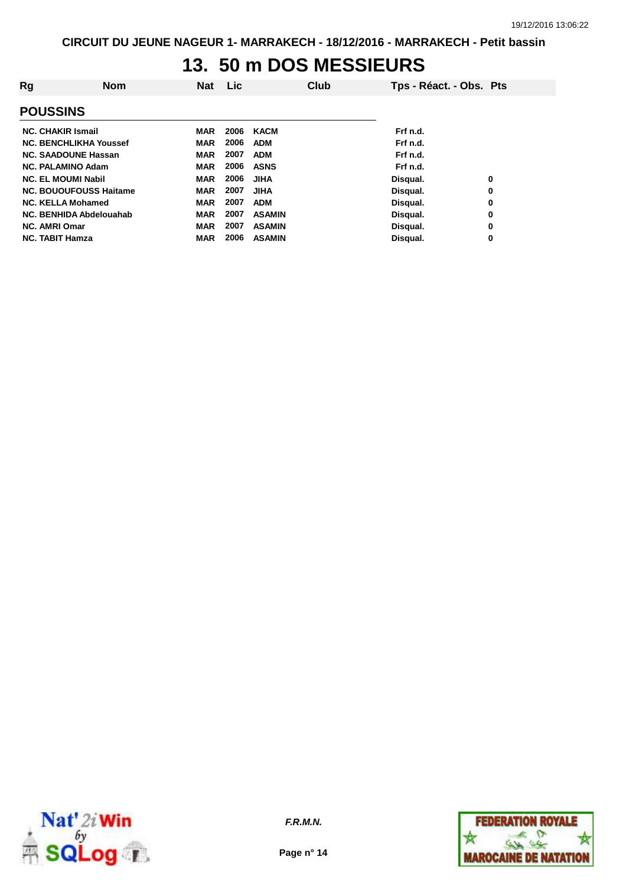#### **13. 50 m DOS MESSIEURS**

| Rg                            | <b>Nom</b> | <b>Nat</b> | Lic  | Club          | Tps - Réact. - Obs. Pts |   |
|-------------------------------|------------|------------|------|---------------|-------------------------|---|
| <b>POUSSINS</b>               |            |            |      |               |                         |   |
| <b>NC. CHAKIR Ismail</b>      |            | MAR        | 2006 | KACM          | Frf n.d.                |   |
| <b>NC. BENCHLIKHA Youssef</b> |            | <b>MAR</b> | 2006 | <b>ADM</b>    | Frf n.d.                |   |
| <b>NC. SAADOUNE Hassan</b>    |            | <b>MAR</b> | 2007 | <b>ADM</b>    | Frf n.d.                |   |
| <b>NC. PALAMINO Adam</b>      |            | <b>MAR</b> | 2006 | <b>ASNS</b>   | Frf n.d.                |   |
| <b>NC. EL MOUMI Nabil</b>     |            | <b>MAR</b> | 2006 | <b>JIHA</b>   | Disqual.                | 0 |
| <b>NC. BOUOUFOUSS Haitame</b> |            | <b>MAR</b> | 2007 | <b>JIHA</b>   | Disqual.                | 0 |
| <b>NC. KELLA Mohamed</b>      |            | <b>MAR</b> | 2007 | <b>ADM</b>    | Disqual.                | 0 |
| NC. BENHIDA Abdelouahab       |            | <b>MAR</b> | 2007 | <b>ASAMIN</b> | Disqual.                | 0 |
| <b>NC. AMRI Omar</b>          |            | <b>MAR</b> | 2007 | <b>ASAMIN</b> | Disqual.                | 0 |
| <b>NC. TABIT Hamza</b>        |            | <b>MAR</b> | 2006 | <b>ASAMIN</b> | Disqual.                | 0 |



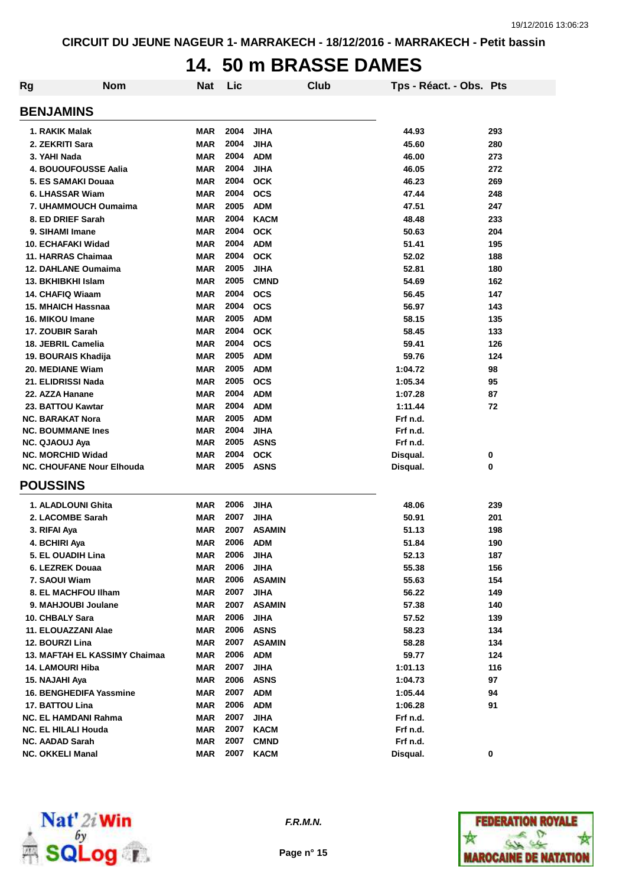### **14. 50 m BRASSE DAMES**

| Rg | <b>Nom</b>                       | <b>Nat</b> | Lic  | Club          | Tps - Réact. - Obs. Pts |     |
|----|----------------------------------|------------|------|---------------|-------------------------|-----|
|    | <b>BENJAMINS</b>                 |            |      |               |                         |     |
|    | 1. RAKIK Malak                   | <b>MAR</b> | 2004 | <b>JIHA</b>   | 44.93                   | 293 |
|    | 2. ZEKRITI Sara                  | <b>MAR</b> | 2004 | <b>JIHA</b>   | 45.60                   | 280 |
|    | 3. YAHI Nada                     | <b>MAR</b> | 2004 | <b>ADM</b>    | 46.00                   | 273 |
|    | 4. BOUOUFOUSSE Aalia             | <b>MAR</b> | 2004 | <b>JIHA</b>   | 46.05                   | 272 |
|    | 5. ES SAMAKI Douaa               | <b>MAR</b> | 2004 | <b>OCK</b>    | 46.23                   | 269 |
|    | 6. LHASSAR Wiam                  | <b>MAR</b> | 2004 | <b>OCS</b>    | 47.44                   | 248 |
|    | 7. UHAMMOUCH Oumaima             | <b>MAR</b> | 2005 | <b>ADM</b>    | 47.51                   | 247 |
|    | 8. ED DRIEF Sarah                | <b>MAR</b> | 2004 | <b>KACM</b>   | 48.48                   | 233 |
|    | 9. SIHAMI Imane                  | <b>MAR</b> | 2004 | <b>OCK</b>    | 50.63                   | 204 |
|    | 10. ECHAFAKI Widad               | <b>MAR</b> | 2004 | <b>ADM</b>    | 51.41                   | 195 |
|    | 11. HARRAS Chaimaa               | <b>MAR</b> | 2004 | <b>OCK</b>    | 52.02                   | 188 |
|    | <b>12. DAHLANE Oumaima</b>       | <b>MAR</b> | 2005 | <b>JIHA</b>   | 52.81                   | 180 |
|    | 13. BKHIBKHI Islam               | <b>MAR</b> | 2005 | <b>CMND</b>   | 54.69                   | 162 |
|    | 14. CHAFIQ Wiaam                 | <b>MAR</b> | 2004 | <b>OCS</b>    | 56.45                   | 147 |
|    | <b>15. MHAICH Hassnaa</b>        | <b>MAR</b> | 2004 | <b>OCS</b>    | 56.97                   | 143 |
|    | 16. MIKOU Imane                  | <b>MAR</b> | 2005 | <b>ADM</b>    | 58.15                   | 135 |
|    | 17. ZOUBIR Sarah                 | <b>MAR</b> | 2004 | <b>OCK</b>    | 58.45                   | 133 |
|    | 18. JEBRIL Camelia               | <b>MAR</b> | 2004 | <b>OCS</b>    | 59.41                   | 126 |
|    | 19. BOURAIS Khadija              | <b>MAR</b> | 2005 | <b>ADM</b>    | 59.76                   | 124 |
|    | 20. MEDIANE Wiam                 | <b>MAR</b> | 2005 | <b>ADM</b>    | 1:04.72                 | 98  |
|    | 21. ELIDRISSI Nada               | <b>MAR</b> | 2005 | <b>OCS</b>    | 1:05.34                 | 95  |
|    | 22. AZZA Hanane                  | <b>MAR</b> | 2004 | <b>ADM</b>    | 1:07.28                 | 87  |
|    | 23. BATTOU Kawtar                | <b>MAR</b> | 2004 | <b>ADM</b>    | 1:11.44                 | 72  |
|    | <b>NC. BARAKAT Nora</b>          | <b>MAR</b> | 2005 | <b>ADM</b>    | Frf n.d.                |     |
|    | <b>NC. BOUMMANE Ines</b>         | <b>MAR</b> | 2004 | <b>JIHA</b>   | Frf n.d.                |     |
|    | <b>NC. QJAOUJ Aya</b>            | MAR        | 2005 | <b>ASNS</b>   | Frf n.d.                |     |
|    | <b>NC. MORCHID Widad</b>         | <b>MAR</b> | 2004 | <b>OCK</b>    | Disqual.                | 0   |
|    | <b>NC. CHOUFANE Nour Elhouda</b> | <b>MAR</b> | 2005 | <b>ASNS</b>   | Disqual.                | 0   |
|    | <b>POUSSINS</b>                  |            |      |               |                         |     |
|    | 1. ALADLOUNI Ghita               | <b>MAR</b> | 2006 | <b>JIHA</b>   | 48.06                   | 239 |
|    | 2. LACOMBE Sarah                 | <b>MAR</b> | 2007 | <b>JIHA</b>   | 50.91                   | 201 |
|    | 3. RIFAI Aya                     | <b>MAR</b> | 2007 | <b>ASAMIN</b> | 51.13                   | 198 |
|    | 4. BCHIRI Aya                    | <b>MAR</b> | 2006 | <b>ADM</b>    | 51.84                   | 190 |
|    | 5. EL OUADIH Lina                | MAR        | 2006 | <b>JIHA</b>   | 52.13                   | 187 |
|    | 6. LEZREK Douaa                  | <b>MAR</b> | 2006 | <b>JIHA</b>   | 55.38                   | 156 |
|    | 7. SAOUI Wiam                    | <b>MAR</b> | 2006 | <b>ASAMIN</b> | 55.63                   | 154 |
|    | 8. EL MACHFOU IIham              | MAR        | 2007 | <b>JIHA</b>   | 56.22                   | 149 |
|    | 9. MAHJOUBI Joulane              | <b>MAR</b> | 2007 | <b>ASAMIN</b> | 57.38                   | 140 |
|    | 10. CHBALY Sara                  | <b>MAR</b> | 2006 | <b>JIHA</b>   | 57.52                   | 139 |
|    | 11. ELOUAZZANI Alae              | <b>MAR</b> | 2006 | <b>ASNS</b>   | 58.23                   | 134 |
|    | 12. BOURZI Lina                  | <b>MAR</b> | 2007 | <b>ASAMIN</b> | 58.28                   | 134 |
|    | 13. MAFTAH EL KASSIMY Chaimaa    | <b>MAR</b> | 2006 | <b>ADM</b>    | 59.77                   | 124 |
|    | <b>14. LAMOURI Hiba</b>          | <b>MAR</b> | 2007 | <b>JIHA</b>   | 1:01.13                 | 116 |
|    | 15. NAJAHI Aya                   | <b>MAR</b> | 2006 | <b>ASNS</b>   | 1:04.73                 | 97  |
|    | 16. BENGHEDIFA Yassmine          | <b>MAR</b> | 2007 | <b>ADM</b>    | 1:05.44                 | 94  |
|    | 17. BATTOU Lina                  | <b>MAR</b> | 2006 | <b>ADM</b>    | 1:06.28                 | 91  |
|    | NC. EL HAMDANI Rahma             | <b>MAR</b> | 2007 | <b>JIHA</b>   | Frf n.d.                |     |
|    | NC. EL HILALI Houda              | <b>MAR</b> | 2007 | <b>KACM</b>   | Frf n.d.                |     |
|    | <b>NC. AADAD Sarah</b>           | <b>MAR</b> | 2007 | <b>CMND</b>   | Frf n.d.                |     |
|    | <b>NC. OKKELI Manal</b>          | <b>MAR</b> | 2007 | <b>KACM</b>   | Disqual.                | 0   |



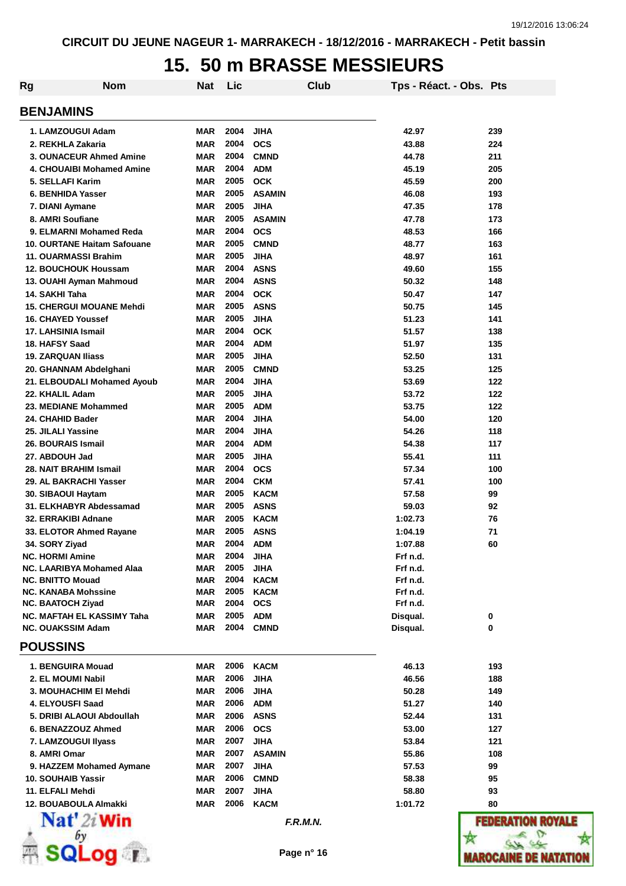# **15. 50 m BRASSE MESSIEURS**

| Rg               | Nom                                                           | Nat                      | Lic          |                           | Club | Tps - Réact. - Obs. Pts |                |
|------------------|---------------------------------------------------------------|--------------------------|--------------|---------------------------|------|-------------------------|----------------|
| <b>BENJAMINS</b> |                                                               |                          |              |                           |      |                         |                |
|                  | 1. LAMZOUGUI Adam                                             | <b>MAR</b>               | 2004         | <b>JIHA</b>               |      | 42.97                   | 239            |
|                  | 2. REKHLA Zakaria                                             | <b>MAR</b>               | 2004         | <b>OCS</b>                |      | 43.88                   | 224            |
|                  | 3. OUNACEUR Ahmed Amine                                       | <b>MAR</b>               | 2004         | <b>CMND</b>               |      | 44.78                   | 211            |
|                  | 4. CHOUAIBI Mohamed Amine                                     | <b>MAR</b>               | 2004         | <b>ADM</b>                |      | 45.19                   | 205            |
|                  | 5. SELLAFI Karim                                              | <b>MAR</b>               | 2005         | <b>OCK</b>                |      | 45.59                   | 200            |
|                  | 6. BENHIDA Yasser                                             | <b>MAR</b>               | 2005         | <b>ASAMIN</b>             |      | 46.08                   | 193            |
|                  | 7. DIANI Aymane                                               | <b>MAR</b>               | 2005         | <b>JIHA</b>               |      | 47.35                   | 178            |
|                  | 8. AMRI Soufiane                                              | <b>MAR</b>               | 2005         | <b>ASAMIN</b>             |      | 47.78                   | 173            |
|                  | 9. ELMARNI Mohamed Reda                                       | <b>MAR</b>               | 2004         | <b>OCS</b>                |      | 48.53                   | 166            |
|                  | 10. OURTANE Haitam Safouane                                   | <b>MAR</b>               | 2005         | <b>CMND</b>               |      | 48.77                   | 163            |
|                  | 11. OUARMASSI Brahim                                          | <b>MAR</b>               | 2005         | <b>JIHA</b>               |      | 48.97                   | 161            |
|                  | <b>12. BOUCHOUK Houssam</b>                                   | <b>MAR</b>               | 2004         | <b>ASNS</b>               |      | 49.60                   | 155            |
|                  | 13. OUAHI Ayman Mahmoud                                       | <b>MAR</b>               | 2004         | ASNS                      |      | 50.32                   | 148            |
| 14. SAKHI Taha   |                                                               | <b>MAR</b>               | 2004         | <b>OCK</b>                |      | 50.47                   | 147            |
|                  | <b>15. CHERGUI MOUANE Mehdi</b>                               | <b>MAR</b>               | 2005<br>2005 | <b>ASNS</b>               |      | 50.75<br>51.23          | 145            |
|                  | <b>16. CHAYED Youssef</b><br>17. LAHSINIA Ismail              | <b>MAR</b><br><b>MAR</b> | 2004         | <b>JIHA</b><br><b>OCK</b> |      | 51.57                   | 141<br>138     |
|                  | 18. HAFSY Saad                                                | <b>MAR</b>               | 2004         | <b>ADM</b>                |      | 51.97                   | 135            |
|                  | <b>19. ZARQUAN Iliass</b>                                     | <b>MAR</b>               | 2005         | <b>JIHA</b>               |      | 52.50                   | 131            |
|                  | 20. GHANNAM Abdelghani                                        | <b>MAR</b>               | 2005         | <b>CMND</b>               |      | 53.25                   | 125            |
|                  | 21. ELBOUDALI Mohamed Ayoub                                   | <b>MAR</b>               | 2004         | <b>JIHA</b>               |      | 53.69                   | 122            |
|                  | 22. KHALIL Adam                                               | <b>MAR</b>               | 2005         | <b>JIHA</b>               |      | 53.72                   | 122            |
|                  | 23. MEDIANE Mohammed                                          | <b>MAR</b>               | 2005         | <b>ADM</b>                |      | 53.75                   | 122            |
|                  | 24. CHAHID Bader                                              | <b>MAR</b>               | 2004         | <b>JIHA</b>               |      | 54.00                   | 120            |
|                  | 25. JILALI Yassine                                            | <b>MAR</b>               | 2004         | <b>JIHA</b>               |      | 54.26                   | 118            |
|                  | <b>26. BOURAIS Ismail</b>                                     | <b>MAR</b>               | 2004         | <b>ADM</b>                |      | 54.38                   | 117            |
|                  | 27. ABDOUH Jad                                                | <b>MAR</b>               | 2005         | <b>JIHA</b>               |      | 55.41                   | 111            |
|                  | 28. NAIT BRAHIM Ismail                                        | <b>MAR</b>               | 2004         | <b>OCS</b>                |      | 57.34                   | 100            |
|                  | 29. AL BAKRACHI Yasser                                        | <b>MAR</b>               | 2004         | <b>CKM</b>                |      | 57.41                   | 100            |
|                  | 30. SIBAOUI Haytam                                            | <b>MAR</b>               | 2005         | <b>KACM</b>               |      | 57.58                   | 99             |
|                  | 31. ELKHABYR Abdessamad                                       | <b>MAR</b>               | 2005         | <b>ASNS</b>               |      | 59.03                   | 92             |
|                  | 32. ERRAKIBI Adnane                                           | <b>MAR</b>               | 2005         | <b>KACM</b>               |      | 1:02.73                 | 76             |
|                  | 33. ELOTOR Ahmed Rayane                                       | <b>MAR</b>               | 2005         | <b>ASNS</b>               |      | 1:04.19                 | 71             |
| 34. SORY Ziyad   |                                                               | MAR                      | 2004         | <b>ADM</b>                |      | 1:07.88                 | 60             |
|                  | <b>NC. HORMI Amine</b>                                        | MAR                      | 2004         | <b>JIHA</b>               |      | Frf n.d.                |                |
|                  | <b>NC. LAARIBYA Mohamed Alaa</b>                              | <b>MAR</b>               | 2005         | <b>JIHA</b>               |      | Frf n.d.                |                |
|                  | <b>NC. BNITTO Mouad</b>                                       | <b>MAR</b>               | 2004         | <b>KACM</b>               |      | Frf n.d.                |                |
|                  | <b>NC. KANABA Mohssine</b>                                    | <b>MAR</b>               | 2005         | KACM                      |      | Frf n.d.                |                |
|                  | <b>NC. BAATOCH Ziyad</b><br><b>NC. MAFTAH EL KASSIMY Taha</b> | <b>MAR</b><br><b>MAR</b> | 2004<br>2005 | <b>OCS</b>                |      | Frf n.d.                |                |
|                  | <b>NC. OUAKSSIM Adam</b>                                      | <b>MAR</b>               | 2004         | <b>ADM</b><br><b>CMND</b> |      | Disqual.<br>Disqual.    | 0<br>0         |
| <b>POUSSINS</b>  |                                                               |                          |              |                           |      |                         |                |
|                  | 1. BENGUIRA Mouad                                             | <b>MAR</b>               | 2006         | KACM                      |      | 46.13                   | 193            |
|                  | 2. EL MOUMI Nabil                                             | <b>MAR</b>               | 2006         | <b>JIHA</b>               |      | 46.56                   | 188            |
|                  | 3. MOUHACHIM EI Mehdi                                         | <b>MAR</b>               | 2006         | <b>JIHA</b>               |      | 50.28                   | 149            |
|                  | 4. ELYOUSFI Saad                                              | <b>MAR</b>               | 2006         | <b>ADM</b>                |      | 51.27                   | 140            |
|                  | 5. DRIBI ALAOUI Abdoullah                                     | <b>MAR</b>               | 2006         | <b>ASNS</b>               |      | 52.44                   | 131            |
|                  | 6. BENAZZOUZ Ahmed                                            | <b>MAR</b>               | 2006         | <b>OCS</b>                |      | 53.00                   | 127            |
|                  | 7. LAMZOUGUI Ilyass                                           | <b>MAR</b>               | 2007         | <b>JIHA</b>               |      | 53.84                   | 121            |
|                  | 8. AMRI Omar                                                  | <b>MAR</b>               | 2007         | <b>ASAMIN</b>             |      | 55.86                   | 108            |
|                  | 9. HAZZEM Mohamed Aymane                                      | <b>MAR</b>               | 2007         | <b>JIHA</b>               |      | 57.53                   | 99             |
|                  | 10. SOUHAIB Yassir                                            | <b>MAR</b>               | 2006         | <b>CMND</b>               |      | 58.38                   | 95             |
|                  | 11. ELFALI Mehdi                                              | <b>MAR</b>               | 2007         | <b>JIHA</b>               |      | 58.80                   | 93             |
|                  | 12. BOUABOULA Almakki                                         | <b>MAR</b>               | 2006         | <b>KACM</b>               |      | 1:01.72                 | 80             |
|                  | $\mathbf{Nat}'$ 2i Win                                        |                          |              | F.R.M.N.                  |      |                         | FEDER          |
|                  |                                                               |                          |              |                           |      |                         |                |
|                  | .001                                                          |                          |              | Page n° 16                |      |                         | <b>MAROCAI</b> |

**ROYALE** w **MAROCAINE DE NATATION**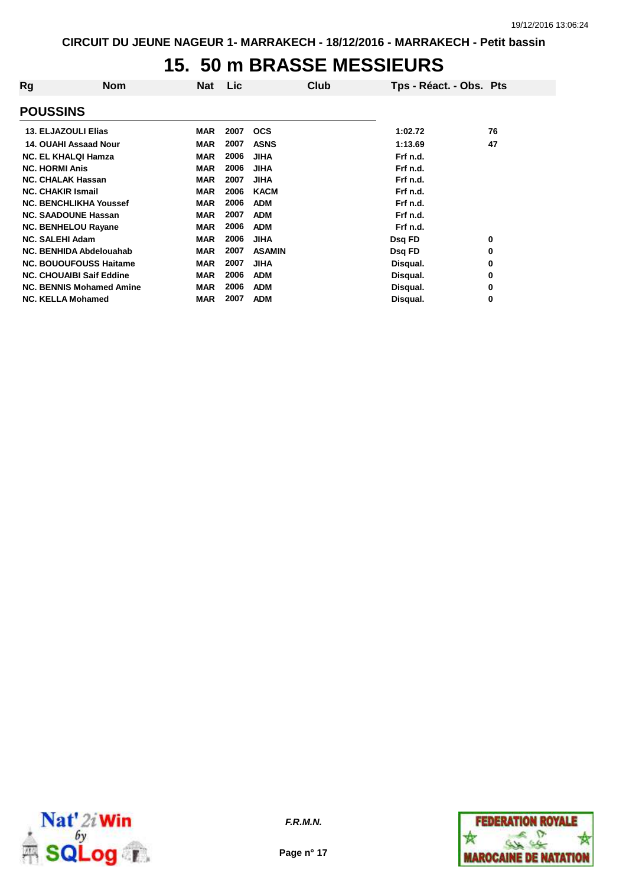## **15. 50 m BRASSE MESSIEURS**

| Rg                              | Nom | <b>Nat</b> | <b>Lic</b> | Club          | Tps - Réact. - Obs. Pts |          |
|---------------------------------|-----|------------|------------|---------------|-------------------------|----------|
| <b>POUSSINS</b>                 |     |            |            |               |                         |          |
| <b>13. ELJAZOULI Elias</b>      |     | <b>MAR</b> | 2007       | <b>OCS</b>    | 1:02.72                 | 76       |
| 14. OUAHI Assaad Nour           |     | <b>MAR</b> | 2007       | <b>ASNS</b>   | 1:13.69                 | 47       |
| <b>NC. EL KHALQI Hamza</b>      |     | <b>MAR</b> | 2006       | <b>JIHA</b>   | Frf n.d.                |          |
| <b>NC. HORMI Anis</b>           |     | <b>MAR</b> | 2006       | <b>JIHA</b>   | Frf n.d.                |          |
| <b>NC. CHALAK Hassan</b>        |     | <b>MAR</b> | 2007       | <b>JIHA</b>   | Frf n.d.                |          |
| <b>NC. CHAKIR Ismail</b>        |     | <b>MAR</b> | 2006       | <b>KACM</b>   | Frf n.d.                |          |
| <b>NC. BENCHLIKHA Youssef</b>   |     | <b>MAR</b> | 2006       | <b>ADM</b>    | Frf n.d.                |          |
| <b>NC. SAADOUNE Hassan</b>      |     | <b>MAR</b> | 2007       | <b>ADM</b>    | Frf n.d.                |          |
| <b>NC. BENHELOU Rayane</b>      |     | <b>MAR</b> | 2006       | <b>ADM</b>    | Frf n.d.                |          |
| <b>NC. SALEHI Adam</b>          |     | <b>MAR</b> | 2006       | <b>JIHA</b>   | Dsq FD                  | 0        |
| NC. BENHIDA Abdelouahab         |     | <b>MAR</b> | 2007       | <b>ASAMIN</b> | Dsq FD                  | 0        |
| <b>NC. BOUOUFOUSS Haitame</b>   |     | <b>MAR</b> | 2007       | <b>JIHA</b>   | Disqual.                | 0        |
| <b>NC. CHOUAIBI Saif Eddine</b> |     | <b>MAR</b> | 2006       | <b>ADM</b>    | Disqual.                | 0        |
| <b>NC. BENNIS Mohamed Amine</b> |     | <b>MAR</b> | 2006       | <b>ADM</b>    | Disqual.                | 0        |
| <b>NC. KELLA Mohamed</b>        |     | <b>MAR</b> | 2007       | <b>ADM</b>    | Disqual.                | $\bf{0}$ |